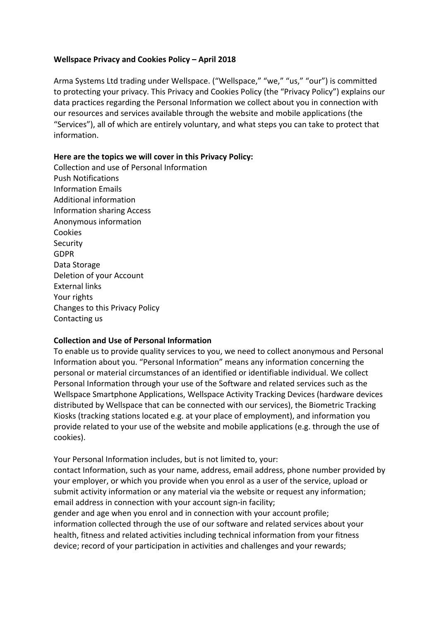## **Wellspace Privacy and Cookies Policy – April 2018**

Arma Systems Ltd trading under Wellspace. ("Wellspace," "we," "us," "our") is committed to protecting your privacy. This Privacy and Cookies Policy (the "Privacy Policy") explains our data practices regarding the Personal Information we collect about you in connection with our resources and services available through the website and mobile applications (the "Services"), all of which are entirely voluntary, and what steps you can take to protect that information.

## Here are the topics we will cover in this Privacy Policy:

Collection and use of Personal Information Push Notifications Information Emails Additional information Information sharing Access Anonymous information Cookies **Security** GDPR Data Storage Deletion of your Account **External links** Your rights Changes to this Privacy Policy Contacting us

# **Collection and Use of Personal Information**

To enable us to provide quality services to you, we need to collect anonymous and Personal Information about you. "Personal Information" means any information concerning the personal or material circumstances of an identified or identifiable individual. We collect Personal Information through your use of the Software and related services such as the Wellspace Smartphone Applications, Wellspace Activity Tracking Devices (hardware devices distributed by Wellspace that can be connected with our services), the Biometric Tracking Kiosks (tracking stations located e.g. at your place of employment), and information you provide related to your use of the website and mobile applications (e.g. through the use of cookies).

Your Personal Information includes, but is not limited to, your: contact Information, such as your name, address, email address, phone number provided by your employer, or which you provide when you enrol as a user of the service, upload or submit activity information or any material via the website or request any information; email address in connection with your account sign-in facility; gender and age when you enrol and in connection with your account profile; information collected through the use of our software and related services about your health, fitness and related activities including technical information from your fitness device; record of your participation in activities and challenges and your rewards;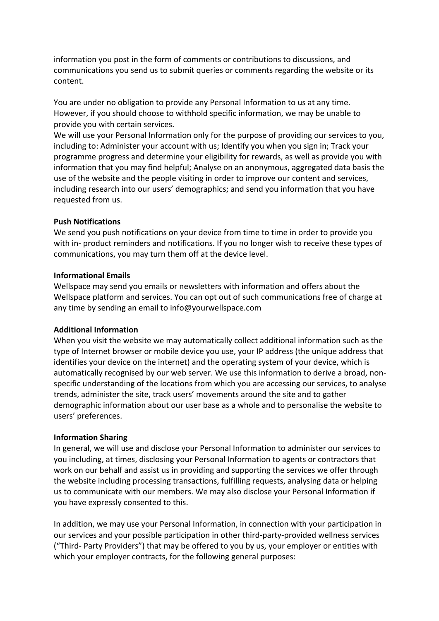information you post in the form of comments or contributions to discussions, and communications you send us to submit queries or comments regarding the website or its content.

You are under no obligation to provide any Personal Information to us at any time. However, if you should choose to withhold specific information, we may be unable to provide you with certain services.

We will use your Personal Information only for the purpose of providing our services to you, including to: Administer your account with us; Identify you when you sign in; Track your programme progress and determine your eligibility for rewards, as well as provide you with information that you may find helpful; Analyse on an anonymous, aggregated data basis the use of the website and the people visiting in order to improve our content and services, including research into our users' demographics; and send you information that you have requested from us.

### **Push Notifications**

We send you push notifications on your device from time to time in order to provide you with in- product reminders and notifications. If you no longer wish to receive these types of communications, you may turn them off at the device level.

#### **Informational Emails**

Wellspace may send you emails or newsletters with information and offers about the Wellspace platform and services. You can opt out of such communications free of charge at any time by sending an email to info@yourwellspace.com

#### **Additional Information**

When you visit the website we may automatically collect additional information such as the type of Internet browser or mobile device you use, your IP address (the unique address that identifies your device on the internet) and the operating system of your device, which is automatically recognised by our web server. We use this information to derive a broad, nonspecific understanding of the locations from which you are accessing our services, to analyse trends, administer the site, track users' movements around the site and to gather demographic information about our user base as a whole and to personalise the website to users' preferences.

#### **Information Sharing**

In general, we will use and disclose your Personal Information to administer our services to you including, at times, disclosing your Personal Information to agents or contractors that work on our behalf and assist us in providing and supporting the services we offer through the website including processing transactions, fulfilling requests, analysing data or helping us to communicate with our members. We may also disclose your Personal Information if you have expressly consented to this.

In addition, we may use your Personal Information, in connection with your participation in our services and your possible participation in other third-party-provided wellness services ("Third- Party Providers") that may be offered to you by us, your employer or entities with which your employer contracts, for the following general purposes: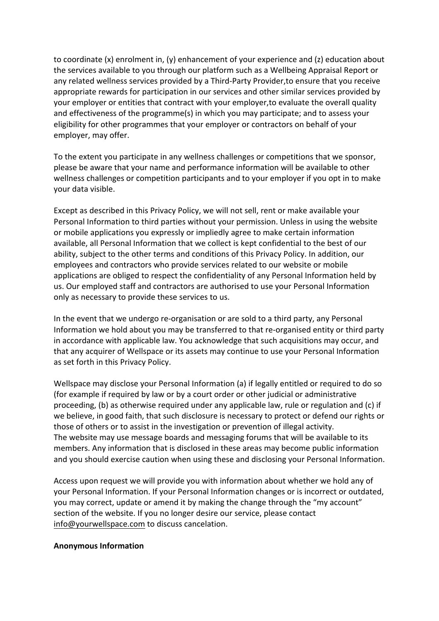to coordinate  $(x)$  enrolment in,  $(y)$  enhancement of your experience and  $(z)$  education about the services available to you through our platform such as a Wellbeing Appraisal Report or any related wellness services provided by a Third-Party Provider, to ensure that you receive appropriate rewards for participation in our services and other similar services provided by your employer or entities that contract with your employer, to evaluate the overall quality and effectiveness of the programme(s) in which you may participate; and to assess your eligibility for other programmes that your employer or contractors on behalf of your employer, may offer.

To the extent you participate in any wellness challenges or competitions that we sponsor, please be aware that your name and performance information will be available to other wellness challenges or competition participants and to your employer if you opt in to make your data visible.

Except as described in this Privacy Policy, we will not sell, rent or make available your Personal Information to third parties without your permission. Unless in using the website or mobile applications you expressly or impliedly agree to make certain information available, all Personal Information that we collect is kept confidential to the best of our ability, subject to the other terms and conditions of this Privacy Policy. In addition, our employees and contractors who provide services related to our website or mobile applications are obliged to respect the confidentiality of any Personal Information held by us. Our employed staff and contractors are authorised to use your Personal Information only as necessary to provide these services to us.

In the event that we undergo re-organisation or are sold to a third party, any Personal Information we hold about you may be transferred to that re-organised entity or third party in accordance with applicable law. You acknowledge that such acquisitions may occur, and that any acquirer of Wellspace or its assets may continue to use your Personal Information as set forth in this Privacy Policy.

Wellspace may disclose your Personal Information (a) if legally entitled or required to do so (for example if required by law or by a court order or other judicial or administrative proceeding, (b) as otherwise required under any applicable law, rule or regulation and (c) if we believe, in good faith, that such disclosure is necessary to protect or defend our rights or those of others or to assist in the investigation or prevention of illegal activity. The website may use message boards and messaging forums that will be available to its members. Any information that is disclosed in these areas may become public information and you should exercise caution when using these and disclosing your Personal Information.

Access upon request we will provide you with information about whether we hold any of your Personal Information. If your Personal Information changes or is incorrect or outdated, you may correct, update or amend it by making the change through the "my account" section of the website. If you no longer desire our service, please contact info@yourwellspace.com to discuss cancelation.

#### **Anonymous Information**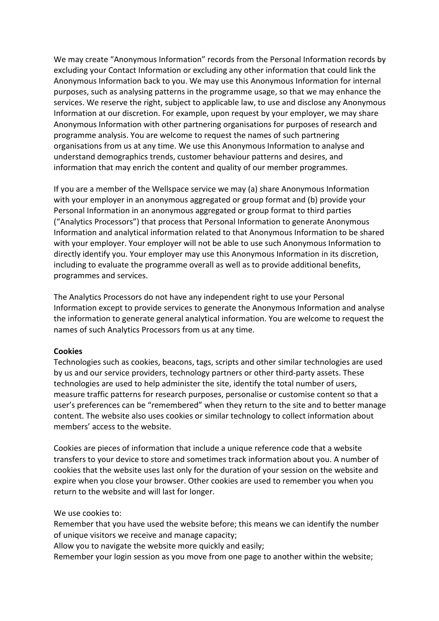We may create "Anonymous Information" records from the Personal Information records by excluding your Contact Information or excluding any other information that could link the Anonymous Information back to you. We may use this Anonymous Information for internal purposes, such as analysing patterns in the programme usage, so that we may enhance the services. We reserve the right, subject to applicable law, to use and disclose any Anonymous Information at our discretion. For example, upon request by your employer, we may share Anonymous Information with other partnering organisations for purposes of research and programme analysis. You are welcome to request the names of such partnering organisations from us at any time. We use this Anonymous Information to analyse and understand demographics trends, customer behaviour patterns and desires, and information that may enrich the content and quality of our member programmes.

If you are a member of the Wellspace service we may (a) share Anonymous Information with your employer in an anonymous aggregated or group format and (b) provide your Personal Information in an anonymous aggregated or group format to third parties ("Analytics Processors") that process that Personal Information to generate Anonymous Information and analytical information related to that Anonymous Information to be shared with your employer. Your employer will not be able to use such Anonymous Information to directly identify you. Your employer may use this Anonymous Information in its discretion, including to evaluate the programme overall as well as to provide additional benefits, programmes and services.

The Analytics Processors do not have any independent right to use your Personal Information except to provide services to generate the Anonymous Information and analyse the information to generate general analytical information. You are welcome to request the names of such Analytics Processors from us at any time.

## **Cookies**

Technologies such as cookies, beacons, tags, scripts and other similar technologies are used by us and our service providers, technology partners or other third-party assets. These technologies are used to help administer the site, identify the total number of users, measure traffic patterns for research purposes, personalise or customise content so that a user's preferences can be "remembered" when they return to the site and to better manage content. The website also uses cookies or similar technology to collect information about members' access to the website.

Cookies are pieces of information that include a unique reference code that a website transfers to your device to store and sometimes track information about you. A number of cookies that the website uses last only for the duration of your session on the website and expire when you close your browser. Other cookies are used to remember you when you return to the website and will last for longer.

We use cookies to:

Remember that you have used the website before; this means we can identify the number of unique visitors we receive and manage capacity;

Allow you to navigate the website more quickly and easily;

Remember your login session as you move from one page to another within the website;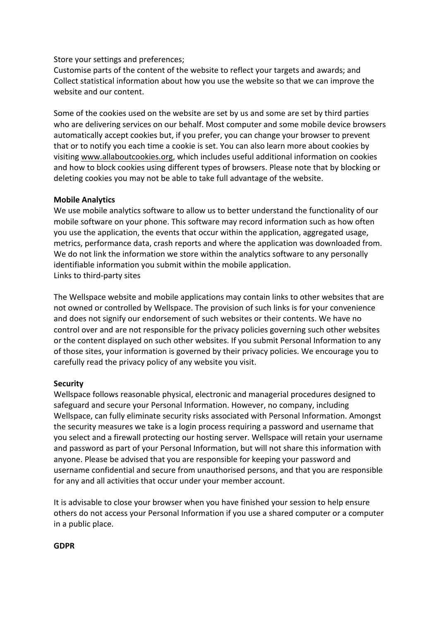## Store your settings and preferences;

Customise parts of the content of the website to reflect your targets and awards; and Collect statistical information about how you use the website so that we can improve the website and our content.

Some of the cookies used on the website are set by us and some are set by third parties who are delivering services on our behalf. Most computer and some mobile device browsers automatically accept cookies but, if you prefer, you can change your browser to prevent that or to notify you each time a cookie is set. You can also learn more about cookies by visiting www.allaboutcookies.org, which includes useful additional information on cookies and how to block cookies using different types of browsers. Please note that by blocking or deleting cookies you may not be able to take full advantage of the website.

## **Mobile Analytics**

We use mobile analytics software to allow us to better understand the functionality of our mobile software on your phone. This software may record information such as how often you use the application, the events that occur within the application, aggregated usage, metrics, performance data, crash reports and where the application was downloaded from. We do not link the information we store within the analytics software to any personally identifiable information you submit within the mobile application. Links to third-party sites

The Wellspace website and mobile applications may contain links to other websites that are not owned or controlled by Wellspace. The provision of such links is for your convenience and does not signify our endorsement of such websites or their contents. We have no control over and are not responsible for the privacy policies governing such other websites or the content displayed on such other websites. If you submit Personal Information to any of those sites, your information is governed by their privacy policies. We encourage you to carefully read the privacy policy of any website you visit.

## **Security**

Wellspace follows reasonable physical, electronic and managerial procedures designed to safeguard and secure your Personal Information. However, no company, including Wellspace, can fully eliminate security risks associated with Personal Information. Amongst the security measures we take is a login process requiring a password and username that you select and a firewall protecting our hosting server. Wellspace will retain your username and password as part of your Personal Information, but will not share this information with anyone. Please be advised that you are responsible for keeping your password and username confidential and secure from unauthorised persons, and that you are responsible for any and all activities that occur under your member account.

It is advisable to close your browser when you have finished your session to help ensure others do not access your Personal Information if you use a shared computer or a computer in a public place.

## **GDPR**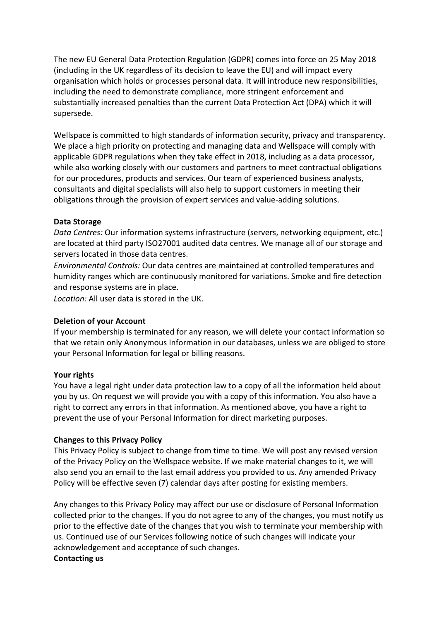The new EU General Data Protection Regulation (GDPR) comes into force on 25 May 2018 (including in the UK regardless of its decision to leave the EU) and will impact every organisation which holds or processes personal data. It will introduce new responsibilities, including the need to demonstrate compliance, more stringent enforcement and substantially increased penalties than the current Data Protection Act (DPA) which it will supersede.

Wellspace is committed to high standards of information security, privacy and transparency. We place a high priority on protecting and managing data and Wellspace will comply with applicable GDPR regulations when they take effect in 2018, including as a data processor, while also working closely with our customers and partners to meet contractual obligations for our procedures, products and services. Our team of experienced business analysts, consultants and digital specialists will also help to support customers in meeting their obligations through the provision of expert services and value-adding solutions.

## **Data Storage**

*Data Centres:* Our information systems infrastructure (servers, networking equipment, etc.) are located at third party ISO27001 audited data centres. We manage all of our storage and servers located in those data centres.

*Environmental Controls:* Our data centres are maintained at controlled temperatures and humidity ranges which are continuously monitored for variations. Smoke and fire detection and response systems are in place.

Location: All user data is stored in the UK.

## **Deletion of your Account**

If your membership is terminated for any reason, we will delete your contact information so that we retain only Anonymous Information in our databases, unless we are obliged to store your Personal Information for legal or billing reasons.

## Your rights

You have a legal right under data protection law to a copy of all the information held about you by us. On request we will provide you with a copy of this information. You also have a right to correct any errors in that information. As mentioned above, you have a right to prevent the use of your Personal Information for direct marketing purposes.

## **Changes to this Privacy Policy**

This Privacy Policy is subject to change from time to time. We will post any revised version of the Privacy Policy on the Wellspace website. If we make material changes to it, we will also send you an email to the last email address you provided to us. Any amended Privacy Policy will be effective seven (7) calendar days after posting for existing members.

Any changes to this Privacy Policy may affect our use or disclosure of Personal Information collected prior to the changes. If you do not agree to any of the changes, you must notify us prior to the effective date of the changes that you wish to terminate your membership with us. Continued use of our Services following notice of such changes will indicate your acknowledgement and acceptance of such changes. **Contacting us**